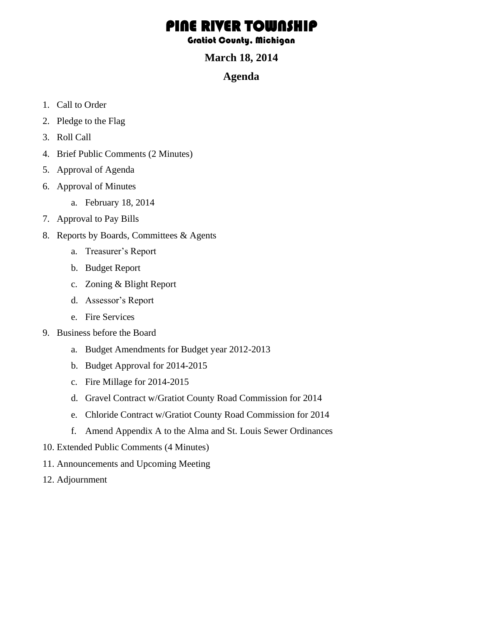## PINE RIVER TOWNSHI

Gratiot County, Michigan

## **March 18, 2014**

## **Agenda**

- 1. Call to Order
- 2. Pledge to the Flag
- 3. Roll Call
- 4. Brief Public Comments (2 Minutes)
- 5. Approval of Agenda
- 6. Approval of Minutes
	- a. February 18, 2014
- 7. Approval to Pay Bills
- 8. Reports by Boards, Committees & Agents
	- a. Treasurer's Report
	- b. Budget Report
	- c. Zoning & Blight Report
	- d. Assessor's Report
	- e. Fire Services
- 9. Business before the Board
	- a. Budget Amendments for Budget year 2012-2013
	- b. Budget Approval for 2014-2015
	- c. Fire Millage for 2014-2015
	- d. Gravel Contract w/Gratiot County Road Commission for 2014
	- e. Chloride Contract w/Gratiot County Road Commission for 2014
	- f. Amend Appendix A to the Alma and St. Louis Sewer Ordinances
- 10. Extended Public Comments (4 Minutes)
- 11. Announcements and Upcoming Meeting
- 12. Adjournment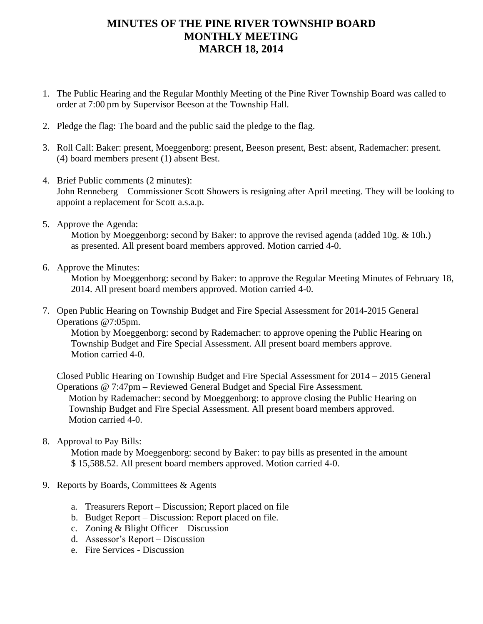## **MINUTES OF THE PINE RIVER TOWNSHIP BOARD MONTHLY MEETING MARCH 18, 2014**

- 1. The Public Hearing and the Regular Monthly Meeting of the Pine River Township Board was called to order at 7:00 pm by Supervisor Beeson at the Township Hall.
- 2. Pledge the flag: The board and the public said the pledge to the flag.
- 3. Roll Call: Baker: present, Moeggenborg: present, Beeson present, Best: absent, Rademacher: present. (4) board members present (1) absent Best.
- 4. Brief Public comments (2 minutes): John Renneberg – Commissioner Scott Showers is resigning after April meeting. They will be looking to appoint a replacement for Scott a.s.a.p.
- 5. Approve the Agenda:

Motion by Moeggenborg: second by Baker: to approve the revised agenda (added 10g. & 10h.) as presented. All present board members approved. Motion carried 4-0.

6. Approve the Minutes:

Motion by Moeggenborg: second by Baker: to approve the Regular Meeting Minutes of February 18, 2014. All present board members approved. Motion carried 4-0.

7. Open Public Hearing on Township Budget and Fire Special Assessment for 2014-2015 General Operations @7:05pm.

Motion by Moeggenborg: second by Rademacher: to approve opening the Public Hearing on Township Budget and Fire Special Assessment. All present board members approve. Motion carried 4-0.

Closed Public Hearing on Township Budget and Fire Special Assessment for 2014 – 2015 General Operations @ 7:47pm – Reviewed General Budget and Special Fire Assessment. Motion by Rademacher: second by Moeggenborg: to approve closing the Public Hearing on Township Budget and Fire Special Assessment. All present board members approved. Motion carried 4-0.

8. Approval to Pay Bills:

 Motion made by Moeggenborg: second by Baker: to pay bills as presented in the amount \$ 15,588.52. All present board members approved. Motion carried 4-0.

- 9. Reports by Boards, Committees & Agents
	- a. Treasurers Report Discussion; Report placed on file
	- b. Budget Report Discussion: Report placed on file.
	- c. Zoning & Blight Officer Discussion
	- d. Assessor's Report Discussion
	- e. Fire Services Discussion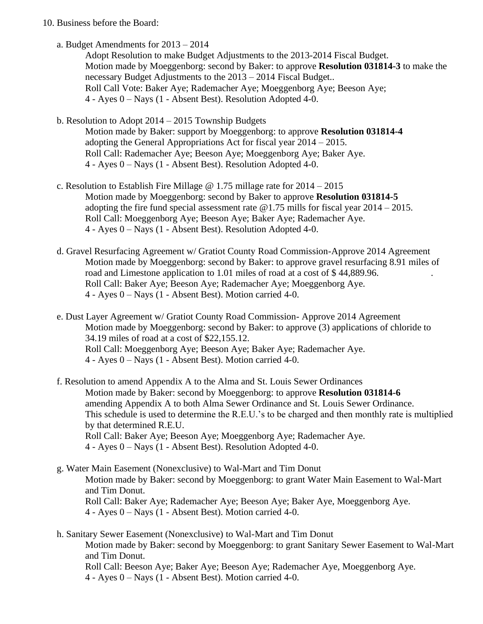- 10. Business before the Board:
	- a. Budget Amendments for 2013 2014

Adopt Resolution to make Budget Adjustments to the 2013-2014 Fiscal Budget. Motion made by Moeggenborg: second by Baker: to approve **Resolution 031814-3** to make the necessary Budget Adjustments to the 2013 – 2014 Fiscal Budget.. Roll Call Vote: Baker Aye; Rademacher Aye; Moeggenborg Aye; Beeson Aye; 4 - Ayes 0 – Nays (1 - Absent Best). Resolution Adopted 4-0.

b. Resolution to Adopt 2014 – 2015 Township Budgets

Motion made by Baker: support by Moeggenborg: to approve **Resolution 031814-4** adopting the General Appropriations Act for fiscal year 2014 – 2015. Roll Call: Rademacher Aye; Beeson Aye; Moeggenborg Aye; Baker Aye. 4 - Ayes 0 – Nays (1 - Absent Best). Resolution Adopted 4-0.

- c. Resolution to Establish Fire Millage  $\omega$  1.75 millage rate for 2014 2015 Motion made by Moeggenborg: second by Baker to approve **Resolution 031814-5**  adopting the fire fund special assessment rate  $@1.75$  mills for fiscal year  $2014 - 2015$ . Roll Call: Moeggenborg Aye; Beeson Aye; Baker Aye; Rademacher Aye. 4 - Ayes 0 – Nays (1 - Absent Best). Resolution Adopted 4-0.
- d. Gravel Resurfacing Agreement w/ Gratiot County Road Commission-Approve 2014 Agreement Motion made by Moeggenborg: second by Baker: to approve gravel resurfacing 8.91 miles of road and Limestone application to 1.01 miles of road at a cost of \$44,889.96. Roll Call: Baker Aye; Beeson Aye; Rademacher Aye; Moeggenborg Aye. 4 - Ayes 0 – Nays (1 - Absent Best). Motion carried 4-0.
- e. Dust Layer Agreement w/ Gratiot County Road Commission- Approve 2014 Agreement Motion made by Moeggenborg: second by Baker: to approve (3) applications of chloride to 34.19 miles of road at a cost of \$22,155.12. Roll Call: Moeggenborg Aye; Beeson Aye; Baker Aye; Rademacher Aye. 4 - Ayes 0 – Nays (1 - Absent Best). Motion carried 4-0.
- f. Resolution to amend Appendix A to the Alma and St. Louis Sewer Ordinances Motion made by Baker: second by Moeggenborg: to approve **Resolution 031814-6**  amending Appendix A to both Alma Sewer Ordinance and St. Louis Sewer Ordinance. This schedule is used to determine the R.E.U.'s to be charged and then monthly rate is multiplied by that determined R.E.U. Roll Call: Baker Aye; Beeson Aye; Moeggenborg Aye; Rademacher Aye. 4 - Ayes 0 – Nays (1 - Absent Best). Resolution Adopted 4-0.
- g. Water Main Easement (Nonexclusive) to Wal-Mart and Tim Donut Motion made by Baker: second by Moeggenborg: to grant Water Main Easement to Wal-Mart and Tim Donut. Roll Call: Baker Aye; Rademacher Aye; Beeson Aye; Baker Aye, Moeggenborg Aye. 4 - Ayes 0 – Nays (1 - Absent Best). Motion carried 4-0.

h. Sanitary Sewer Easement (Nonexclusive) to Wal-Mart and Tim Donut Motion made by Baker: second by Moeggenborg: to grant Sanitary Sewer Easement to Wal-Mart and Tim Donut. Roll Call: Beeson Aye; Baker Aye; Beeson Aye; Rademacher Aye, Moeggenborg Aye. 4 - Ayes 0 – Nays (1 - Absent Best). Motion carried 4-0.